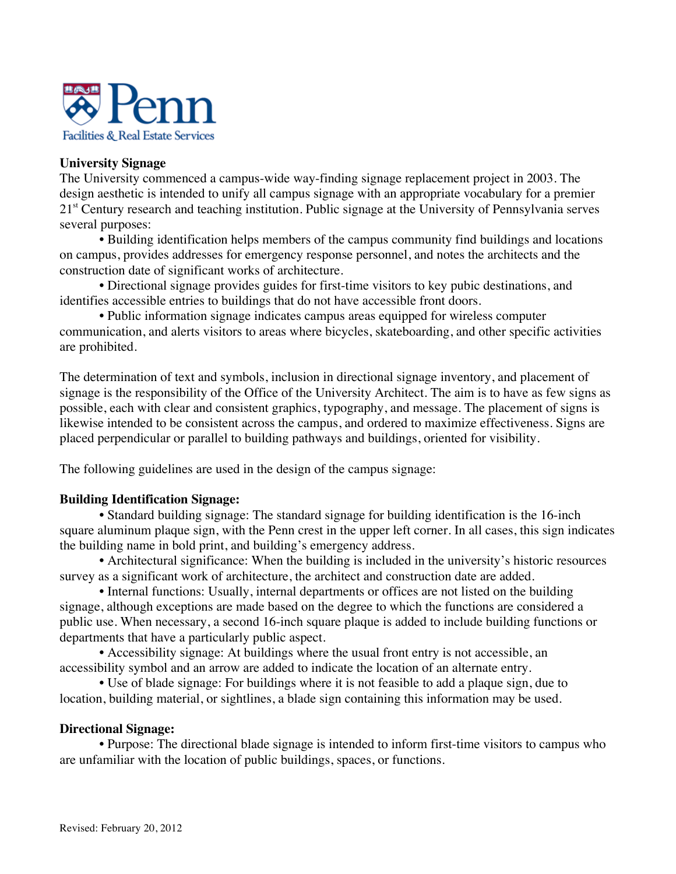

# **University Signage**

The University commenced a campus-wide way-finding signage replacement project in 2003. The design aesthetic is intended to unify all campus signage with an appropriate vocabulary for a premier 21<sup>st</sup> Century research and teaching institution. Public signage at the University of Pennsylvania serves several purposes:

• Building identification helps members of the campus community find buildings and locations on campus, provides addresses for emergency response personnel, and notes the architects and the construction date of significant works of architecture.

• Directional signage provides guides for first-time visitors to key pubic destinations, and identifies accessible entries to buildings that do not have accessible front doors.

• Public information signage indicates campus areas equipped for wireless computer communication, and alerts visitors to areas where bicycles, skateboarding, and other specific activities are prohibited.

The determination of text and symbols, inclusion in directional signage inventory, and placement of signage is the responsibility of the Office of the University Architect. The aim is to have as few signs as possible, each with clear and consistent graphics, typography, and message. The placement of signs is likewise intended to be consistent across the campus, and ordered to maximize effectiveness. Signs are placed perpendicular or parallel to building pathways and buildings, oriented for visibility.

The following guidelines are used in the design of the campus signage:

# **Building Identification Signage:**

• Standard building signage: The standard signage for building identification is the 16-inch square aluminum plaque sign, with the Penn crest in the upper left corner. In all cases, this sign indicates the building name in bold print, and building's emergency address.

• Architectural significance: When the building is included in the university's historic resources survey as a significant work of architecture, the architect and construction date are added.

• Internal functions: Usually, internal departments or offices are not listed on the building signage, although exceptions are made based on the degree to which the functions are considered a public use. When necessary, a second 16-inch square plaque is added to include building functions or departments that have a particularly public aspect.

• Accessibility signage: At buildings where the usual front entry is not accessible, an accessibility symbol and an arrow are added to indicate the location of an alternate entry.

• Use of blade signage: For buildings where it is not feasible to add a plaque sign, due to location, building material, or sightlines, a blade sign containing this information may be used.

### **Directional Signage:**

• Purpose: The directional blade signage is intended to inform first-time visitors to campus who are unfamiliar with the location of public buildings, spaces, or functions.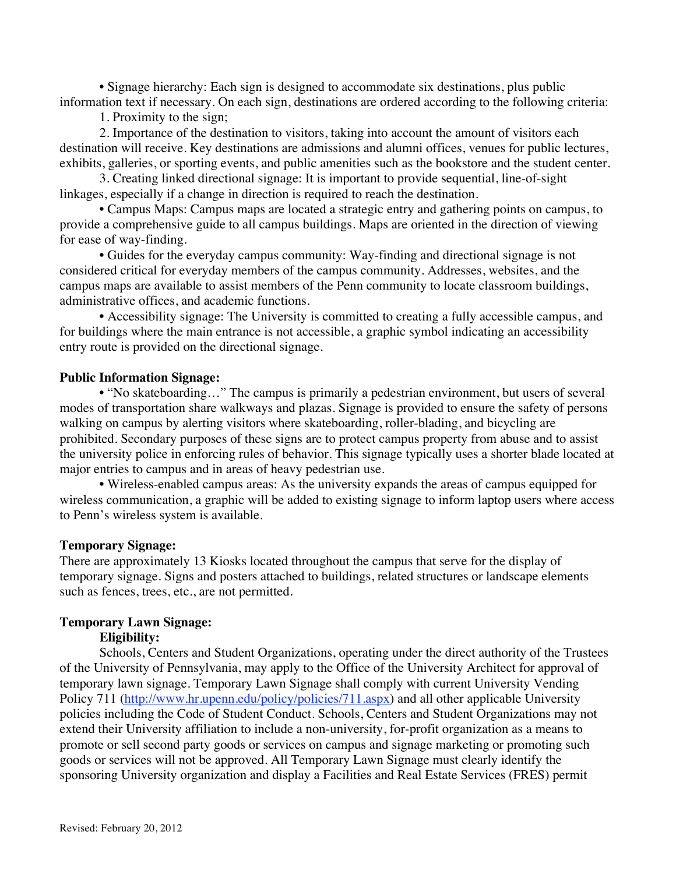• Signage hierarchy: Each sign is designed to accommodate six destinations, plus public information text if necessary. On each sign, destinations are ordered according to the following criteria:

1. Proximity to the sign;

2. Importance of the destination to visitors, taking into account the amount of visitors each destination will receive. Key destinations are admissions and alumni offices, venues for public lectures, exhibits, galleries, or sporting events, and public amenities such as the bookstore and the student center.

3. Creating linked directional signage: It is important to provide sequential, line-of-sight linkages, especially if a change in direction is required to reach the destination.

• Campus Maps: Campus maps are located a strategic entry and gathering points on campus, to provide a comprehensive guide to all campus buildings. Maps are oriented in the direction of viewing for ease of way-finding.

• Guides for the everyday campus community: Way-finding and directional signage is not considered critical for everyday members of the campus community. Addresses, websites, and the campus maps are available to assist members of the Penn community to locate classroom buildings, administrative offices, and academic functions.

• Accessibility signage: The University is committed to creating a fully accessible campus, and for buildings where the main entrance is not accessible, a graphic symbol indicating an accessibility entry route is provided on the directional signage.

#### **Public Information Signage:**

• "No skateboarding..." The campus is primarily a pedestrian environment, but users of several modes of transportation share walkways and plazas. Signage is provided to ensure the safety of persons walking on campus by alerting visitors where skateboarding, roller-blading, and bicycling are prohibited. Secondary purposes of these signs are to protect campus property from abuse and to assist the university police in enforcing rules of behavior. This signage typically uses a shorter blade located at major entries to campus and in areas of heavy pedestrian use.

• Wireless-enabled campus areas: As the university expands the areas of campus equipped for wireless communication, a graphic will be added to existing signage to inform laptop users where access to Penn's wireless system is available.

#### **Temporary Signage:**

There are approximately 13 Kiosks located throughout the campus that serve for the display of temporary signage. Signs and posters attached to buildings, related structures or landscape elements such as fences, trees, etc., are not permitted.

### **Temporary Lawn Signage:**

# **Eligibility:**

Schools, Centers and Student Organizations, operating under the direct authority of the Trustees of the University of Pennsylvania, may apply to the Office of the University Architect for approval of temporary lawn signage. Temporary Lawn Signage shall comply with current University Vending Policy 711 (http://www.hr.upenn.edu/policy/policies/711.aspx) and all other applicable University policies including the Code of Student Conduct. Schools, Centers and Student Organizations may not extend their University affiliation to include a non-university, for-profit organization as a means to promote or sell second party goods or services on campus and signage marketing or promoting such goods or services will not be approved. All Temporary Lawn Signage must clearly identify the sponsoring University organization and display a Facilities and Real Estate Services (FRES) permit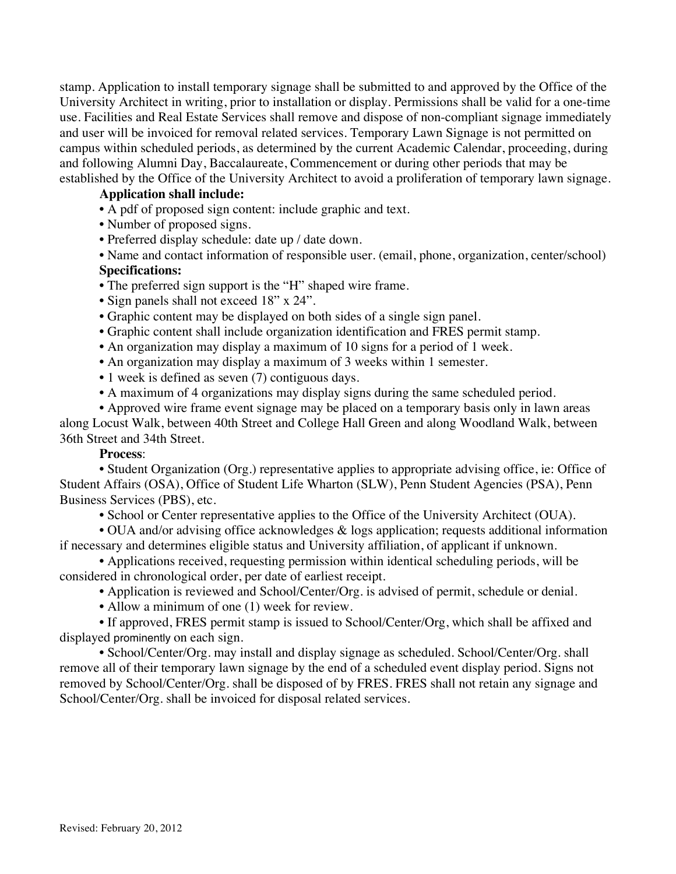stamp. Application to install temporary signage shall be submitted to and approved by the Office of the University Architect in writing, prior to installation or display. Permissions shall be valid for a one-time use. Facilities and Real Estate Services shall remove and dispose of non-compliant signage immediately and user will be invoiced for removal related services. Temporary Lawn Signage is not permitted on campus within scheduled periods, as determined by the current Academic Calendar, proceeding, during and following Alumni Day, Baccalaureate, Commencement or during other periods that may be established by the Office of the University Architect to avoid a proliferation of temporary lawn signage.

# **Application shall include:**

- A pdf of proposed sign content: include graphic and text.
- Number of proposed signs.
- Preferred display schedule: date up / date down.
- Name and contact information of responsible user. (email, phone, organization, center/school)

### **Specifications:**

- The preferred sign support is the "H" shaped wire frame.
- Sign panels shall not exceed 18" x 24".
- Graphic content may be displayed on both sides of a single sign panel.
- Graphic content shall include organization identification and FRES permit stamp.
- An organization may display a maximum of 10 signs for a period of 1 week.
- An organization may display a maximum of 3 weeks within 1 semester.
- 1 week is defined as seven (7) contiguous days.
- A maximum of 4 organizations may display signs during the same scheduled period.
- Approved wire frame event signage may be placed on a temporary basis only in lawn areas along Locust Walk, between 40th Street and College Hall Green and along Woodland Walk, between

36th Street and 34th Street.

# **Process**:

• Student Organization (Org.) representative applies to appropriate advising office, ie: Office of Student Affairs (OSA), Office of Student Life Wharton (SLW), Penn Student Agencies (PSA), Penn Business Services (PBS), etc.

• School or Center representative applies to the Office of the University Architect (OUA).

• OUA and/or advising office acknowledges & logs application; requests additional information if necessary and determines eligible status and University affiliation, of applicant if unknown.

• Applications received, requesting permission within identical scheduling periods, will be considered in chronological order, per date of earliest receipt.

- Application is reviewed and School/Center/Org. is advised of permit, schedule or denial.
- Allow a minimum of one (1) week for review.

• If approved, FRES permit stamp is issued to School/Center/Org, which shall be affixed and displayed prominently on each sign.

• School/Center/Org. may install and display signage as scheduled. School/Center/Org. shall remove all of their temporary lawn signage by the end of a scheduled event display period. Signs not removed by School/Center/Org. shall be disposed of by FRES. FRES shall not retain any signage and School/Center/Org. shall be invoiced for disposal related services.